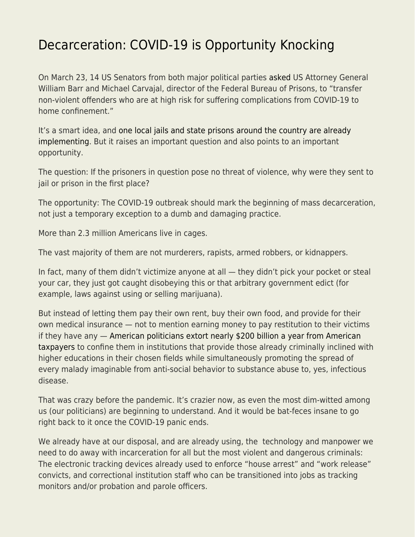## [Decarceration: COVID-19 is Opportunity Knocking](https://everything-voluntary.com/decarceration-covid-19-is-opportunity-knocking)

On March 23, 14 US Senators from both major political parties [asked](https://www.durbin.senate.gov/imo/media/doc/Letter.%20to%20DOJ%20and%20BOP%20on%20COVID-19%20and%20FSA%20provisions%20-%20final%20bipartisan%20text%20with%20signature%20blocks.pdf) US Attorney General William Barr and Michael Carvajal, director of the Federal Bureau of Prisons, to "transfer non-violent offenders who are at high risk for suffering complications from COVID-19 to home confinement."

It's a smart idea, and [one local jails and state prisons around the country are already](https://www.washingtonpost.com/national/disaster-waiting-to-happen-thousands-of-inmates-released-as-jails-face-coronavirus-threat/2020/03/24/761c2d84-6b8c-11ea-b313-df458622c2cc_story.html) [implementing.](https://www.washingtonpost.com/national/disaster-waiting-to-happen-thousands-of-inmates-released-as-jails-face-coronavirus-threat/2020/03/24/761c2d84-6b8c-11ea-b313-df458622c2cc_story.html) But it raises an important question and also points to an important opportunity.

The question: If the prisoners in question pose no threat of violence, why were they sent to jail or prison in the first place?

The opportunity: The COVID-19 outbreak should mark the beginning of mass decarceration, not just a temporary exception to a dumb and damaging practice.

More than 2.3 million Americans live in cages.

The vast majority of them are not murderers, rapists, armed robbers, or kidnappers.

In fact, many of them didn't victimize anyone at all — they didn't pick your pocket or steal your car, they just got caught disobeying this or that arbitrary government edict (for example, laws against using or selling marijuana).

But instead of letting them pay their own rent, buy their own food, and provide for their own medical insurance — not to mention earning money to pay restitution to their victims if they have any — [American politicians extort nearly \\$200 billion a year from American](https://www.prisonpolicy.org/reports/money.html) [taxpayers](https://www.prisonpolicy.org/reports/money.html) to confine them in institutions that provide those already criminally inclined with higher educations in their chosen fields while simultaneously promoting the spread of every malady imaginable from anti-social behavior to substance abuse to, yes, infectious disease.

That was crazy before the pandemic. It's crazier now, as even the most dim-witted among us (our politicians) are beginning to understand. And it would be bat-feces insane to go right back to it once the COVID-19 panic ends.

We already have at our disposal, and are already using, the technology and manpower we need to do away with incarceration for all but the most violent and dangerous criminals: The electronic tracking devices already used to enforce "house arrest" and "work release" convicts, and correctional institution staff who can be transitioned into jobs as tracking monitors and/or probation and parole officers.